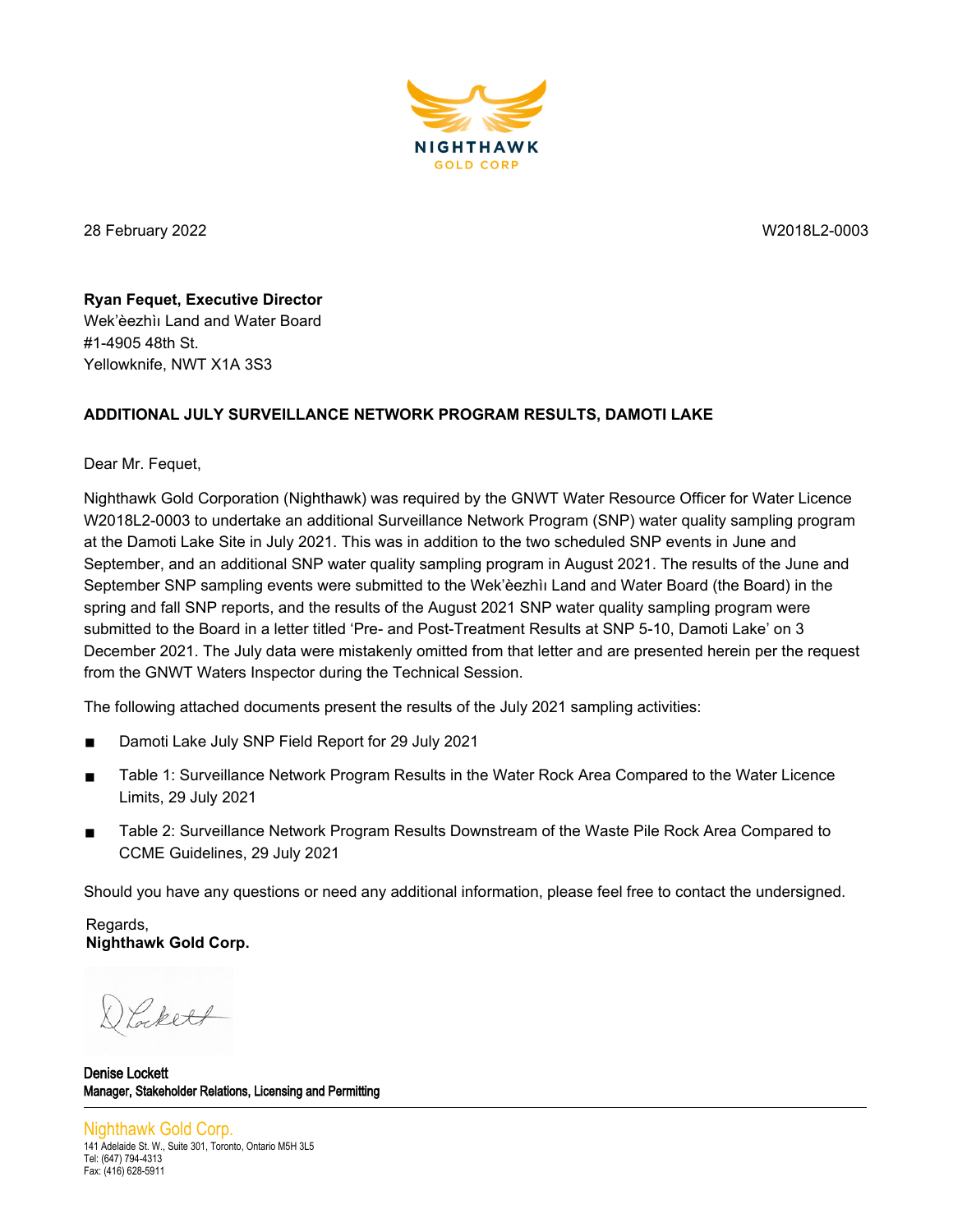

28 February 2022 W2018L2-0003

**Ryan Fequet, Executive Director**  Wek'èezhìı Land and Water Board #1-4905 48th St. Yellowknife, NWT X1A 3S3

## **ADDITIONAL JULY SURVEILLANCE NETWORK PROGRAM RESULTS, DAMOTI LAKE**

Dear Mr. Fequet,

Nighthawk Gold Corporation (Nighthawk) was required by the GNWT Water Resource Officer for Water Licence W2018L2-0003 to undertake an additional Surveillance Network Program (SNP) water quality sampling program at the Damoti Lake Site in July 2021. This was in addition to the two scheduled SNP events in June and September, and an additional SNP water quality sampling program in August 2021. The results of the June and September SNP sampling events were submitted to the Wek'èezhìı Land and Water Board (the Board) in the spring and fall SNP reports, and the results of the August 2021 SNP water quality sampling program were submitted to the Board in a letter titled 'Pre- and Post-Treatment Results at SNP 5-10, Damoti Lake' on 3 December 2021. The July data were mistakenly omitted from that letter and are presented herein per the request from the GNWT Waters Inspector during the Technical Session.

The following attached documents present the results of the July 2021 sampling activities:

- Damoti Lake July SNP Field Report for 29 July 2021
- Table 1: Surveillance Network Program Results in the Water Rock Area Compared to the Water Licence Limits, 29 July 2021
- Table 2: Surveillance Network Program Results Downstream of the Waste Pile Rock Area Compared to CCME Guidelines, 29 July 2021

Should you have any questions or need any additional information, please feel free to contact the undersigned.

Regards, **Nighthawk Gold Corp.**

Lockett

Denise Lockett Manager, Stakeholder Relations, Licensing and Permitting

Nighthawk Gold Corp. 141 Adelaide St. W., Suite 301, Toronto, Ontario M5H 3L5 Tel: (647) 794-4313 Fax: (416) 628-5911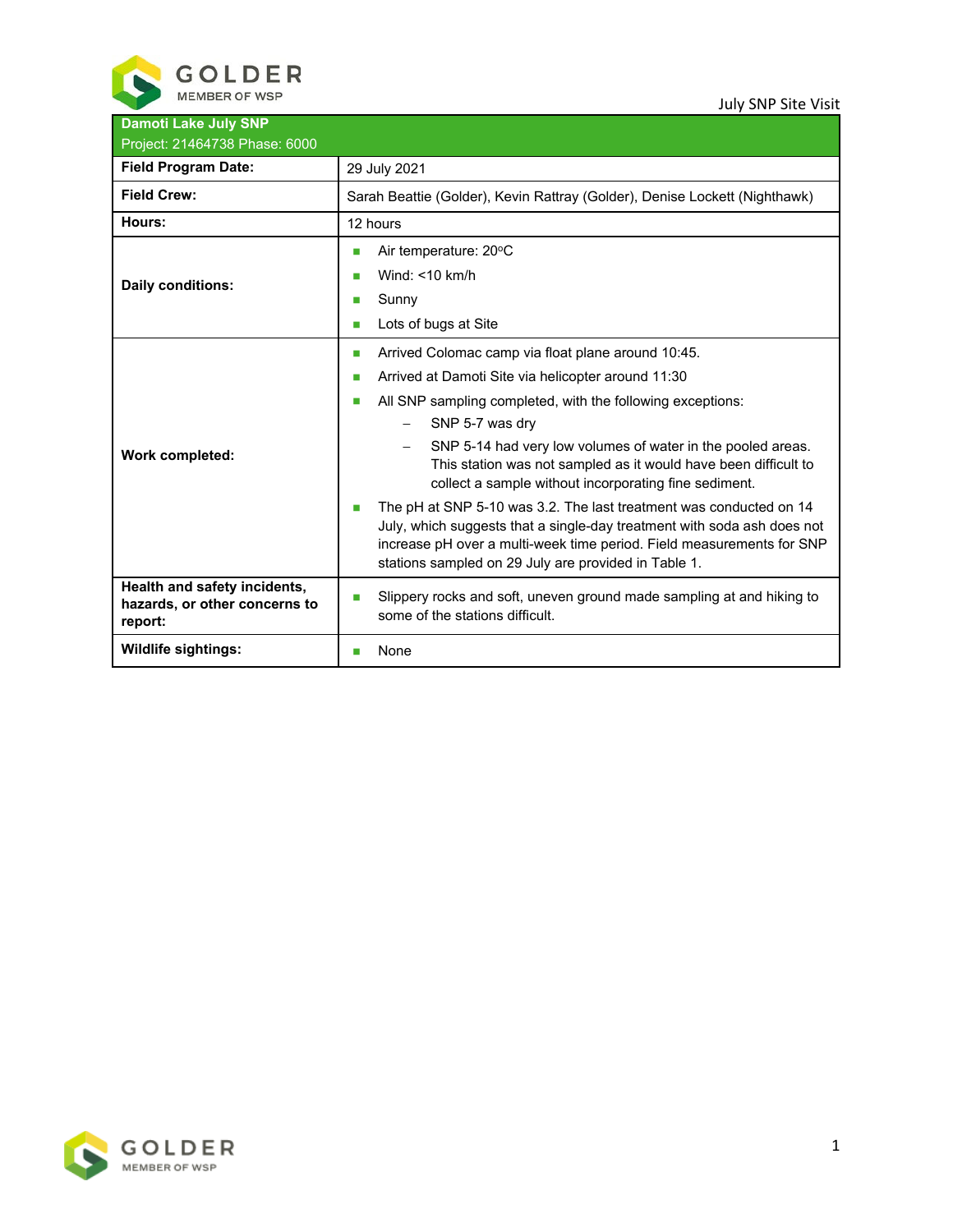

July SNP Site Visit

| <b>Damoti Lake July SNP</b><br>Project: 21464738 Phase: 6000             |                                                                                                                                                                                                                                                                                                                                                                                                                                                                                                                                                                                                                                                                                                                         |  |  |  |  |  |  |
|--------------------------------------------------------------------------|-------------------------------------------------------------------------------------------------------------------------------------------------------------------------------------------------------------------------------------------------------------------------------------------------------------------------------------------------------------------------------------------------------------------------------------------------------------------------------------------------------------------------------------------------------------------------------------------------------------------------------------------------------------------------------------------------------------------------|--|--|--|--|--|--|
| <b>Field Program Date:</b>                                               | 29 July 2021                                                                                                                                                                                                                                                                                                                                                                                                                                                                                                                                                                                                                                                                                                            |  |  |  |  |  |  |
| <b>Field Crew:</b>                                                       | Sarah Beattie (Golder), Kevin Rattray (Golder), Denise Lockett (Nighthawk)                                                                                                                                                                                                                                                                                                                                                                                                                                                                                                                                                                                                                                              |  |  |  |  |  |  |
| Hours:                                                                   | 12 hours                                                                                                                                                                                                                                                                                                                                                                                                                                                                                                                                                                                                                                                                                                                |  |  |  |  |  |  |
| <b>Daily conditions:</b>                                                 | Air temperature: 20°C<br>П<br>Wind: $<$ 10 km/h<br>П<br>Sunny<br>П<br>Lots of bugs at Site<br>П                                                                                                                                                                                                                                                                                                                                                                                                                                                                                                                                                                                                                         |  |  |  |  |  |  |
| <b>Work completed:</b>                                                   | Arrived Colomac camp via float plane around 10:45.<br>Ш<br>Arrived at Damoti Site via helicopter around 11:30<br>П<br>All SNP sampling completed, with the following exceptions:<br>П<br>SNP 5-7 was dry<br>SNP 5-14 had very low volumes of water in the pooled areas.<br>$\overline{\phantom{0}}$<br>This station was not sampled as it would have been difficult to<br>collect a sample without incorporating fine sediment.<br>The pH at SNP 5-10 was 3.2. The last treatment was conducted on 14<br>m.<br>July, which suggests that a single-day treatment with soda ash does not<br>increase pH over a multi-week time period. Field measurements for SNP<br>stations sampled on 29 July are provided in Table 1. |  |  |  |  |  |  |
| Health and safety incidents,<br>hazards, or other concerns to<br>report: | Slippery rocks and soft, uneven ground made sampling at and hiking to<br>some of the stations difficult.                                                                                                                                                                                                                                                                                                                                                                                                                                                                                                                                                                                                                |  |  |  |  |  |  |
| <b>Wildlife sightings:</b>                                               | None<br>m.                                                                                                                                                                                                                                                                                                                                                                                                                                                                                                                                                                                                                                                                                                              |  |  |  |  |  |  |

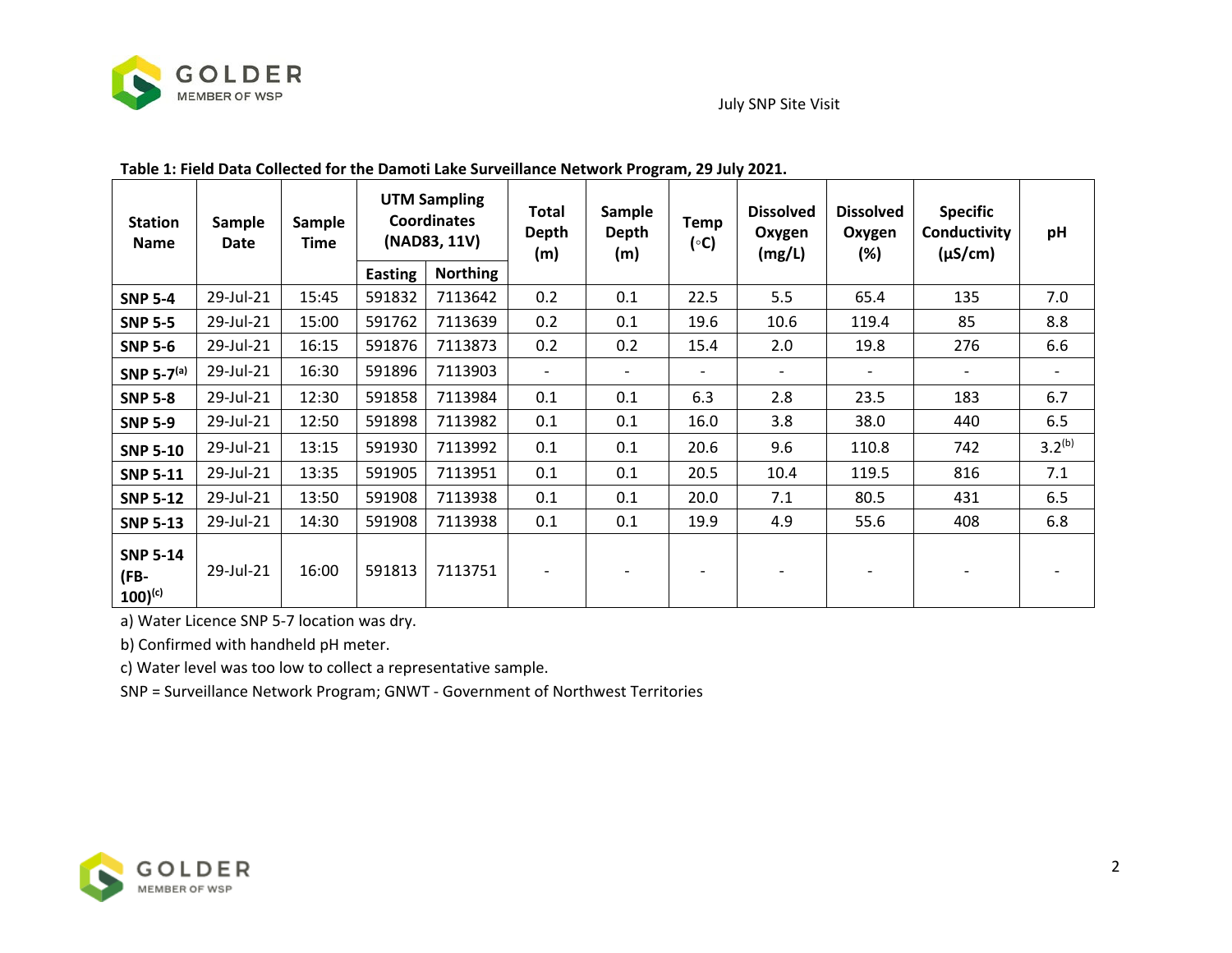

## July SNP Site Visit

 $\overline{\phantom{a}}$ 

 $\top$ 

┯

| <b>Station</b><br><b>Name</b>           | <b>Sample</b><br>Date | <b>Sample</b><br>Time | <b>UTM Sampling</b><br><b>Coordinates</b><br>(NAD83, 11V) |                 | Total<br><b>Sample</b><br><b>Depth</b><br><b>Depth</b><br>(m)<br>(m) |     | Temp<br>(°C)             | <b>Dissolved</b><br>Oxygen<br>(mg/L) | <b>Dissolved</b><br>Oxygen<br>$(\%)$ | <b>Specific</b><br>Conductivity<br>$(\mu S/cm)$ | pH                       |  |
|-----------------------------------------|-----------------------|-----------------------|-----------------------------------------------------------|-----------------|----------------------------------------------------------------------|-----|--------------------------|--------------------------------------|--------------------------------------|-------------------------------------------------|--------------------------|--|
|                                         |                       |                       | <b>Easting</b>                                            | <b>Northing</b> |                                                                      |     |                          |                                      |                                      |                                                 |                          |  |
| <b>SNP 5-4</b>                          | 29-Jul-21             | 15:45                 | 591832                                                    | 7113642         | 0.2                                                                  | 0.1 | 22.5                     | 5.5                                  | 65.4                                 | 135                                             | 7.0                      |  |
| <b>SNP 5-5</b>                          | 29-Jul-21             | 15:00                 | 591762                                                    | 7113639         | 0.2                                                                  | 0.1 | 19.6                     | 10.6                                 | 119.4                                | 85                                              | 8.8                      |  |
| <b>SNP 5-6</b>                          | 29-Jul-21             | 16:15                 | 591876                                                    | 7113873         | 0.2                                                                  | 0.2 | 15.4                     | 2.0                                  | 19.8                                 | 276                                             | 6.6                      |  |
| SNP 5-7 $(a)$                           | 29-Jul-21             | 16:30                 | 591896                                                    | 7113903         | $\qquad \qquad \blacksquare$                                         |     | $\overline{\phantom{a}}$ |                                      |                                      |                                                 | $\overline{\phantom{a}}$ |  |
| <b>SNP 5-8</b>                          | 29-Jul-21             | 12:30                 | 591858                                                    | 7113984         | 0.1                                                                  | 0.1 | 6.3                      | 2.8                                  | 23.5                                 | 183                                             | 6.7                      |  |
| <b>SNP 5-9</b>                          | 29-Jul-21             | 12:50                 | 591898                                                    | 7113982         | 0.1                                                                  | 0.1 | 16.0                     | 3.8                                  | 38.0                                 | 440                                             | 6.5                      |  |
| <b>SNP 5-10</b>                         | 29-Jul-21             | 13:15                 | 591930                                                    | 7113992         | 0.1                                                                  | 0.1 | 20.6                     | 9.6                                  | 110.8                                | 742                                             | $3.2^{(b)}$              |  |
| <b>SNP 5-11</b>                         | 29-Jul-21             | 13:35                 | 591905                                                    | 7113951         | 0.1                                                                  | 0.1 | 20.5                     | 10.4                                 | 119.5                                | 816                                             | 7.1                      |  |
| <b>SNP 5-12</b>                         | 29-Jul-21             | 13:50                 | 591908                                                    | 7113938         | 0.1                                                                  | 0.1 | 20.0                     | 7.1                                  | 80.5                                 | 431                                             | 6.5                      |  |
| <b>SNP 5-13</b>                         | 29-Jul-21             | 14:30                 | 591908                                                    | 7113938         | 0.1                                                                  | 0.1 | 19.9                     | 4.9                                  | 55.6                                 | 408                                             | 6.8                      |  |
| <b>SNP 5-14</b><br>(FB-<br>$100)^{(c)}$ | 29-Jul-21             | 16:00                 | 591813                                                    | 7113751         |                                                                      |     |                          |                                      |                                      |                                                 |                          |  |

## **Table 1: Field Data Collected for the Damoti Lake Surveillance Network Program, 29 July 2021.**

a) Water Licence SNP 5-7 location was dry.

b) Confirmed with handheld pH meter.

c) Water level was too low to collect a representative sample.

SNP = Surveillance Network Program; GNWT - Government of Northwest Territories

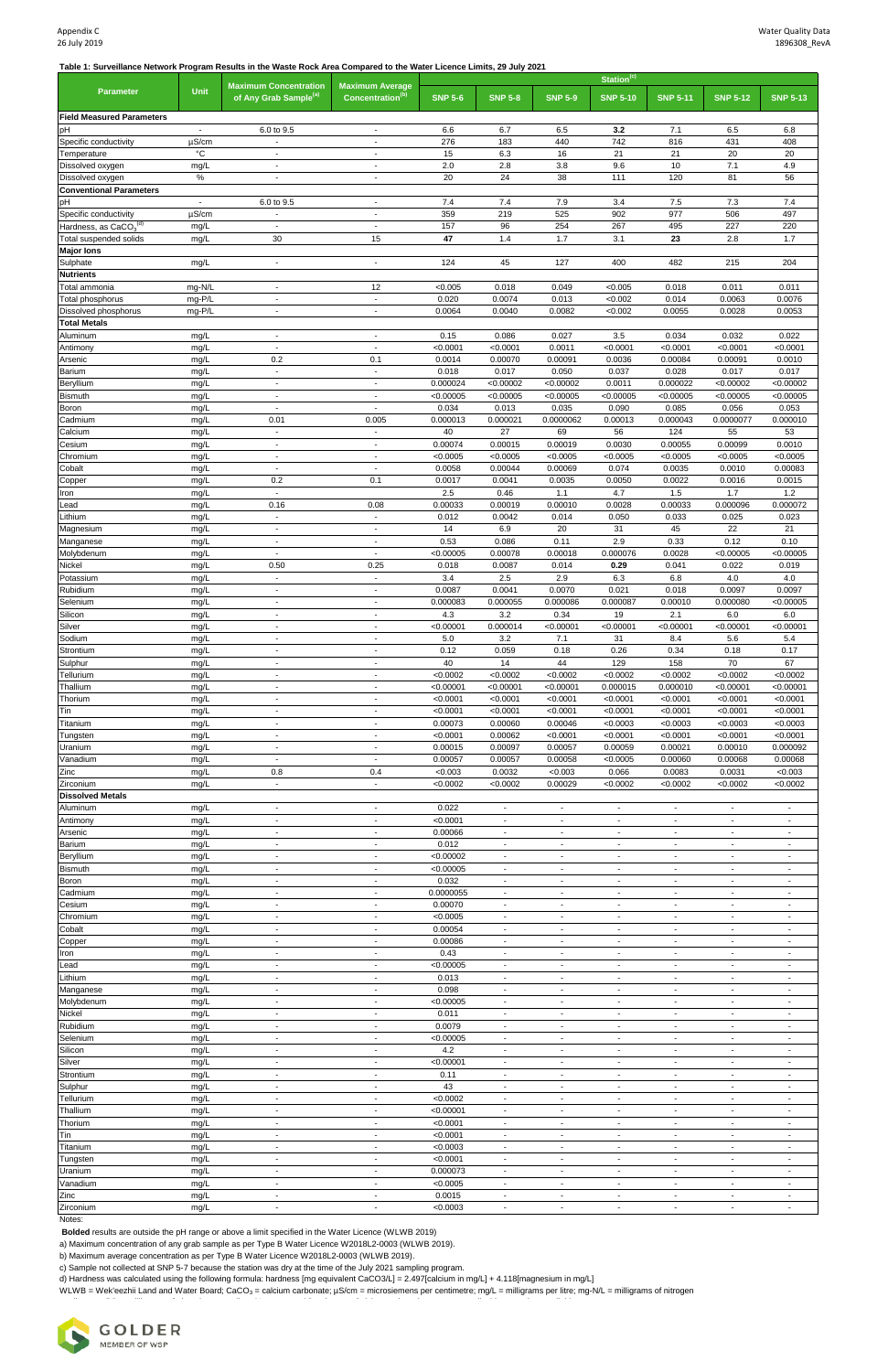**Table 1: Surveillance Network Program Results in the Waste Rock Area Compared to the Water Licence Limits, 29 July 2021**

|                                             |                                        | <b>Maximum Concentration</b>                         | <b>Maximum Average</b>                               | Station <sup>(c)</sup> |                                                      |                                                      |                                                      |                                                      |                                                      |                                                      |  |
|---------------------------------------------|----------------------------------------|------------------------------------------------------|------------------------------------------------------|------------------------|------------------------------------------------------|------------------------------------------------------|------------------------------------------------------|------------------------------------------------------|------------------------------------------------------|------------------------------------------------------|--|
| <b>Parameter</b>                            | <b>Unit</b>                            | of Any Grab Sample <sup>(a)</sup>                    | Concentration <sup>(b)</sup>                         | <b>SNP 5-6</b>         | <b>SNP 5-8</b>                                       | <b>SNP 5-9</b>                                       | <b>SNP 5-10</b>                                      | <b>SNP 5-11</b>                                      | <b>SNP 5-12</b>                                      | <b>SNP 5-13</b>                                      |  |
| <b>Field Measured Parameters</b>            |                                        |                                                      |                                                      |                        |                                                      |                                                      |                                                      |                                                      |                                                      |                                                      |  |
| pH                                          | $\overline{\phantom{a}}$               | 6.0 to 9.5                                           | $\overline{\phantom{a}}$                             | 6.6                    | 6.7                                                  | 6.5                                                  | 3.2                                                  | 7.1                                                  | 6.5                                                  | 6.8                                                  |  |
| Specific conductivity                       | $\mu$ S/cm<br>$^{\circ}{\rm C}$        |                                                      | $\overline{\phantom{a}}$                             | 276                    | 183                                                  | 440                                                  | 742                                                  | 816                                                  | 431                                                  | 408                                                  |  |
| Temperature<br>Dissolved oxygen             | mg/L                                   | $\blacksquare$<br>$\overline{\phantom{a}}$           | $\overline{\phantom{a}}$<br>$\overline{\phantom{a}}$ | 15<br>2.0              | 6.3<br>2.8                                           | 16<br>3.8                                            | 21<br>9.6                                            | 21<br>10                                             | 20<br>7.1                                            | 20<br>4.9                                            |  |
| Dissolved oxygen                            | $\%$                                   |                                                      | $\overline{\phantom{a}}$                             | 20                     | 24                                                   | 38                                                   | 111                                                  | 120                                                  | 81                                                   | 56                                                   |  |
| <b>Conventional Parameters</b>              |                                        |                                                      |                                                      |                        |                                                      |                                                      |                                                      |                                                      |                                                      |                                                      |  |
| pH<br>Specific conductivity                 | $\overline{\phantom{a}}$<br>$\mu$ S/cm | 6.0 to 9.5                                           | $\overline{\phantom{a}}$<br>$\overline{\phantom{a}}$ | 7.4<br>359             | 7.4<br>219                                           | 7.9<br>525                                           | 3.4<br>902                                           | 7.5<br>977                                           | 7.3<br>506                                           | 7.4<br>497                                           |  |
| Hardness, as CaCO3(d)                       | mg/L                                   |                                                      | $\blacksquare$                                       | 157                    | 96                                                   | 254                                                  | 267                                                  | 495                                                  | 227                                                  | 220                                                  |  |
| Total suspended solids                      | mg/L                                   | 30                                                   | 15                                                   | 47                     | 1.4                                                  | 1.7                                                  | 3.1                                                  | 23                                                   | 2.8                                                  | 1.7                                                  |  |
| <b>Major lons</b><br>Sulphate               |                                        | $\overline{\phantom{a}}$                             | $\overline{\phantom{a}}$                             | 124                    | 45                                                   | 127                                                  | 400                                                  | 482                                                  | 215                                                  | 204                                                  |  |
| <b>Nutrients</b>                            | mg/L                                   |                                                      |                                                      |                        |                                                      |                                                      |                                                      |                                                      |                                                      |                                                      |  |
| Total ammonia                               | mg-N/L                                 | $\overline{\phantom{a}}$                             | 12                                                   | < 0.005                | 0.018                                                | 0.049                                                | < 0.005                                              | 0.018                                                | 0.011                                                | 0.011                                                |  |
| Total phosphorus                            | mg-P/L                                 |                                                      | $\overline{\phantom{a}}$                             | 0.020                  | 0.0074                                               | 0.013                                                | < 0.002                                              | 0.014                                                | 0.0063                                               | 0.0076                                               |  |
| Dissolved phosphorus<br><b>Total Metals</b> | mg-P/L                                 | $\overline{\phantom{a}}$                             | $\blacksquare$                                       | 0.0064                 | 0.0040                                               | 0.0082                                               | < 0.002                                              | 0.0055                                               | 0.0028                                               | 0.0053                                               |  |
| Aluminum                                    | mg/L                                   | $\overline{\phantom{a}}$                             | $\blacksquare$                                       | 0.15                   | 0.086                                                | 0.027                                                | 3.5                                                  | 0.034                                                | 0.032                                                | 0.022                                                |  |
| Antimony                                    | mg/L                                   | $\overline{\phantom{a}}$                             | $\overline{\phantom{a}}$                             | < 0.0001               | < 0.0001                                             | 0.0011                                               | < 0.0001                                             | < 0.0001                                             | < 0.0001                                             | < 0.0001                                             |  |
| Arsenic                                     | mg/L                                   | 0.2                                                  | 0.1                                                  | 0.0014                 | 0.00070                                              | 0.00091                                              | 0.0036                                               | 0.00084                                              | 0.00091                                              | 0.0010                                               |  |
| Barium<br>Beryllium                         | mg/L                                   | $\overline{\phantom{a}}$<br>$\overline{\phantom{a}}$ | $\blacksquare$<br>$\blacksquare$                     | 0.018<br>0.000024      | 0.017<br>< 0.00002                                   | 0.050<br>< 0.00002                                   | 0.037<br>0.0011                                      | 0.028<br>0.000022                                    | 0.017<br>< 0.00002                                   | 0.017<br>< 0.00002                                   |  |
| <b>Bismuth</b>                              | mg/L<br>mg/L                           | $\overline{\phantom{a}}$                             | $\blacksquare$                                       | < 0.00005              | < 0.00005                                            | < 0.00005                                            | < 0.00005                                            | < 0.00005                                            | < 0.00005                                            | < 0.00005                                            |  |
| Boron                                       | mg/L                                   | $\overline{\phantom{a}}$                             | $\blacksquare$                                       | 0.034                  | 0.013                                                | 0.035                                                | 0.090                                                | 0.085                                                | 0.056                                                | 0.053                                                |  |
| Cadmium                                     | mg/L                                   | 0.01                                                 | 0.005                                                | 0.000013               | 0.000021                                             | 0.0000062                                            | 0.00013                                              | 0.000043                                             | 0.0000077                                            | 0.000010                                             |  |
| Calcium<br>Cesium                           | mg/L                                   | $\overline{\phantom{a}}$                             | $\blacksquare$                                       | 40<br>0.00074          | 27<br>0.00015                                        | 69<br>0.00019                                        | 56<br>0.0030                                         | 124<br>0.00055                                       | 55<br>0.00099                                        | 53<br>0.0010                                         |  |
| Chromium                                    | mg/L<br>mg/L                           | $\overline{\phantom{a}}$<br>$\overline{\phantom{a}}$ | $\overline{\phantom{a}}$<br>$\overline{\phantom{a}}$ | < 0.0005               | < 0.0005                                             | < 0.0005                                             | < 0.0005                                             | < 0.0005                                             | < 0.0005                                             | < 0.0005                                             |  |
| Cobalt                                      | mg/L                                   | $\overline{\phantom{a}}$                             | $\overline{\phantom{a}}$                             | 0.0058                 | 0.00044                                              | 0.00069                                              | 0.074                                                | 0.0035                                               | 0.0010                                               | 0.00083                                              |  |
| Copper                                      | mg/L                                   | 0.2                                                  | 0.1                                                  | 0.0017                 | 0.0041                                               | 0.0035                                               | 0.0050                                               | 0.0022                                               | 0.0016                                               | 0.0015                                               |  |
| Iron                                        | mg/L                                   | $\mathbf{r}$                                         |                                                      | $2.5\,$                | 0.46                                                 | 1.1                                                  | 4.7                                                  | 1.5                                                  | 1.7                                                  | 1.2                                                  |  |
| Lead<br>Lithium                             | mg/L<br>mg/L                           | 0.16<br>$\overline{\phantom{a}}$                     | 0.08<br>$\blacksquare$                               | 0.00033<br>0.012       | 0.00019<br>0.0042                                    | 0.00010<br>0.014                                     | 0.0028<br>0.050                                      | 0.00033<br>0.033                                     | 0.000096<br>0.025                                    | 0.000072<br>0.023                                    |  |
| Magnesium                                   | mg/L                                   | $\overline{\phantom{a}}$                             | $\overline{\phantom{a}}$                             | 14                     | 6.9                                                  | 20                                                   | 31                                                   | 45                                                   | 22                                                   | 21                                                   |  |
| Manganese                                   | mg/L                                   | $\overline{\phantom{a}}$                             | $\overline{\phantom{a}}$                             | 0.53                   | 0.086                                                | 0.11                                                 | 2.9                                                  | 0.33                                                 | 0.12                                                 | 0.10                                                 |  |
| Molybdenum                                  | mg/L                                   | $\blacksquare$                                       | $\blacksquare$                                       | < 0.00005              | 0.00078                                              | 0.00018                                              | 0.000076                                             | 0.0028                                               | < 0.00005                                            | < 0.00005                                            |  |
| Nickel                                      | mg/L                                   | 0.50                                                 | 0.25                                                 | 0.018                  | 0.0087                                               | 0.014                                                | 0.29                                                 | 0.041                                                | 0.022                                                | 0.019                                                |  |
| Potassium<br>Rubidium                       | mg/L<br>mg/L                           | $\overline{\phantom{a}}$                             | $\blacksquare$                                       | 3.4<br>0.0087          | 2.5<br>0.0041                                        | 2.9<br>0.0070                                        | 6.3<br>0.021                                         | 6.8<br>0.018                                         | 4.0<br>0.0097                                        | 4.0<br>0.0097                                        |  |
| Selenium                                    | mg/L                                   | $\blacksquare$                                       | $\blacksquare$                                       | 0.000083               | 0.000055                                             | 0.000086                                             | 0.000087                                             | 0.00010                                              | 0.000080                                             | < 0.00005                                            |  |
| Silicon                                     | mg/L                                   | $\blacksquare$                                       | $\blacksquare$                                       | 4.3                    | 3.2                                                  | 0.34                                                 | 19                                                   | 2.1                                                  | 6.0                                                  | 6.0                                                  |  |
| Silver                                      | mg/L                                   | $\overline{\phantom{a}}$                             | $\overline{\phantom{a}}$                             | < 0.00001              | 0.000014                                             | < 0.00001                                            | < 0.00001                                            | < 0.00001                                            | < 0.00001                                            | < 0.00001                                            |  |
| Sodium<br>Strontium                         | mg/L<br>mg/L                           | $\overline{\phantom{a}}$<br>$\overline{\phantom{a}}$ | $\overline{\phantom{a}}$<br>$\blacksquare$           | 5.0<br>0.12            | 3.2<br>0.059                                         | 7.1<br>0.18                                          | 31<br>0.26                                           | 8.4<br>0.34                                          | 5.6<br>0.18                                          | 5.4<br>0.17                                          |  |
| Sulphur                                     | mg/L                                   | $\blacksquare$                                       | $\overline{\phantom{a}}$                             | 40                     | 14                                                   | 44                                                   | 129                                                  | 158                                                  | 70                                                   | 67                                                   |  |
| Tellurium                                   | mg/L                                   | $\overline{\phantom{a}}$                             | $\overline{\phantom{a}}$                             | < 0.0002               | < 0.0002                                             | < 0.0002                                             | < 0.0002                                             | < 0.0002                                             | < 0.0002                                             | < 0.0002                                             |  |
| Thallium                                    | mg/L                                   | $\overline{\phantom{a}}$                             | $\overline{\phantom{a}}$                             | < 0.00001              | < 0.00001                                            | < 0.00001                                            | 0.000015                                             | 0.000010                                             | < 0.00001                                            | < 0.00001                                            |  |
| Thorium<br>Tin                              | mg/L<br>mg/L                           | $\overline{\phantom{a}}$<br>$\overline{\phantom{a}}$ | $\overline{\phantom{a}}$<br>$\blacksquare$           | < 0.0001<br>< 0.0001   | < 0.0001<br>< 0.0001                                 | < 0.0001<br>< 0.0001                                 | < 0.0001<br>< 0.0001                                 | < 0.0001<br>< 0.0001                                 | < 0.0001<br>< 0.0001                                 | < 0.0001<br>< 0.0001                                 |  |
| Titanium                                    | mg/L                                   | $\blacksquare$                                       | $\blacksquare$                                       | 0.00073                | 0.00060                                              | 0.00046                                              | < 0.0003                                             | < 0.0003                                             | < 0.0003                                             | < 0.0003                                             |  |
| Tungsten                                    | mg/L                                   | $\overline{\phantom{a}}$                             | $\overline{\phantom{a}}$                             | < 0.0001               | 0.00062                                              | < 0.0001                                             | < 0.0001                                             | < 0.0001                                             | < 0.0001                                             | < 0.0001                                             |  |
| Uranium                                     | mg/L                                   | $\overline{\phantom{a}}$                             | $\overline{\phantom{a}}$                             | 0.00015                | 0.00097                                              | 0.00057                                              | 0.00059                                              | 0.00021                                              | 0.00010                                              | 0.000092                                             |  |
| Vanadium<br>Zinc                            | mg/L<br>mg/L                           | $\overline{\phantom{a}}$<br>0.8                      | $\overline{\phantom{a}}$<br>0.4                      | 0.00057<br>< 0.003     | 0.00057<br>0.0032                                    | 0.00058<br>< 0.003                                   | < 0.0005<br>0.066                                    | 0.00060<br>0.0083                                    | 0.00068<br>0.0031                                    | 0.00068<br>< 0.003                                   |  |
| Zirconium                                   | mg/L                                   | $\blacksquare$                                       | $\blacksquare$                                       | < 0.0002               | < 0.0002                                             | 0.00029                                              | < 0.0002                                             | < 0.0002                                             | < 0.0002                                             | < 0.0002                                             |  |
| <b>Dissolved Metals</b>                     |                                        |                                                      |                                                      |                        |                                                      |                                                      |                                                      |                                                      |                                                      |                                                      |  |
| Aluminum                                    | mg/L                                   | $\overline{\phantom{a}}$                             | $\overline{\phantom{a}}$                             | 0.022                  | $\overline{\phantom{a}}$                             | $\blacksquare$                                       | $\overline{\phantom{a}}$                             | $\overline{\phantom{a}}$                             | $\overline{\phantom{a}}$                             |                                                      |  |
| Antimony                                    | mg/L                                   | $\overline{\phantom{a}}$<br>$\overline{\phantom{a}}$ | $\overline{\phantom{a}}$<br>$\blacksquare$           | < 0.0001<br>0.00066    | $\overline{\phantom{a}}$                             | $\overline{\phantom{a}}$                             | $\overline{\phantom{a}}$                             | $\overline{\phantom{a}}$                             | $\overline{\phantom{a}}$                             |                                                      |  |
| Arsenic<br><b>Barium</b>                    | mg/L<br>mg/L                           | $\overline{\phantom{a}}$                             | $\overline{\phantom{a}}$                             | 0.012                  | $\overline{\phantom{a}}$<br>$\overline{\phantom{a}}$ | $\overline{\phantom{a}}$<br>$\overline{\phantom{a}}$ | $\overline{\phantom{a}}$<br>$\overline{\phantom{a}}$ | $\overline{\phantom{a}}$<br>$\overline{\phantom{a}}$ | $\overline{\phantom{a}}$<br>$\overline{\phantom{a}}$ | $\blacksquare$<br>$\overline{\phantom{a}}$           |  |
| Beryllium                                   | mg/L                                   | $\overline{\phantom{a}}$                             | $\overline{\phantom{a}}$                             | < 0.00002              | $\blacksquare$                                       | $\overline{\phantom{a}}$                             | $\blacksquare$                                       | $\blacksquare$                                       | $\blacksquare$                                       | $\overline{\phantom{a}}$                             |  |
| <b>Bismuth</b>                              | mg/L                                   | $\overline{\phantom{a}}$                             | $\overline{\phantom{a}}$                             | < 0.00005              | $\overline{\phantom{a}}$                             | $\overline{\phantom{a}}$                             | $\overline{\phantom{a}}$                             | $\overline{\phantom{a}}$                             | $\overline{\phantom{a}}$                             | $\overline{\phantom{a}}$                             |  |
| Boron                                       | mg/L                                   | $\overline{\phantom{a}}$                             | $\overline{\phantom{a}}$                             | 0.032                  | $\overline{\phantom{a}}$                             | $\overline{\phantom{a}}$                             |                                                      | $\overline{\phantom{a}}$                             | $\overline{\phantom{a}}$                             |                                                      |  |
| Cadmium<br>Cesium                           | mg/L<br>mg/L                           | $\overline{\phantom{a}}$<br>$\blacksquare$           | $\blacksquare$<br>$\blacksquare$                     | 0.0000055<br>0.00070   | $\blacksquare$<br>$\overline{\phantom{a}}$           | $\overline{\phantom{a}}$<br>$\blacksquare$           | $\blacksquare$<br>$\overline{\phantom{a}}$           | $\overline{\phantom{a}}$<br>$\blacksquare$           | $\blacksquare$<br>$\blacksquare$                     | $\blacksquare$<br>$\blacksquare$                     |  |
| Chromium                                    | mg/L                                   | $\overline{\phantom{a}}$                             | $\overline{\phantom{a}}$                             | < 0.0005               | $\blacksquare$                                       | $\blacksquare$                                       | $\blacksquare$                                       | $\overline{\phantom{a}}$                             | $\blacksquare$                                       |                                                      |  |
| Cobalt                                      | mg/L                                   | $\overline{\phantom{a}}$                             | $\overline{\phantom{a}}$                             | 0.00054                | $\overline{\phantom{a}}$                             | $\overline{\phantom{a}}$                             | $\overline{\phantom{a}}$                             | $\overline{\phantom{a}}$                             | $\overline{\phantom{a}}$                             | $\blacksquare$                                       |  |
| Copper                                      | mg/L                                   | $\overline{\phantom{a}}$                             | $\overline{\phantom{a}}$                             | 0.00086                | $\overline{\phantom{a}}$                             | $\overline{\phantom{a}}$                             |                                                      | $\overline{\phantom{a}}$                             | $\overline{\phantom{a}}$                             |                                                      |  |
| Iron<br>Lead                                | mg/L<br>mg/L                           | $\overline{\phantom{a}}$<br>$\blacksquare$           | $\blacksquare$<br>$\blacksquare$                     | 0.43<br>< 0.00005      | $\overline{\phantom{a}}$<br>$\overline{\phantom{a}}$ | $\overline{\phantom{a}}$<br>$\blacksquare$           | $\blacksquare$                                       | $\overline{\phantom{a}}$<br>$\blacksquare$           | $\overline{\phantom{a}}$<br>$\blacksquare$           | $\blacksquare$<br>$\blacksquare$                     |  |
| Lithium                                     | mg/L                                   | $\overline{\phantom{a}}$                             | $\overline{\phantom{a}}$                             | 0.013                  | ä,                                                   | $\blacksquare$                                       | $\blacksquare$                                       | $\blacksquare$                                       | $\blacksquare$                                       |                                                      |  |
| Manganese                                   | mg/L                                   | $\overline{\phantom{a}}$                             | $\overline{\phantom{a}}$                             | 0.098                  | $\blacksquare$                                       | $\blacksquare$                                       | $\overline{\phantom{a}}$                             | $\overline{\phantom{a}}$                             | $\overline{\phantom{a}}$                             | $\overline{\phantom{a}}$                             |  |
| Molybdenum                                  | mg/L                                   | $\overline{\phantom{a}}$                             | $\overline{\phantom{a}}$                             | < 0.00005              | $\overline{\phantom{a}}$                             | $\overline{\phantom{a}}$                             | $\overline{\phantom{a}}$                             | $\overline{\phantom{a}}$                             | $\overline{\phantom{a}}$                             | $\overline{\phantom{a}}$                             |  |
| Nickel<br>Rubidium                          | mg/L<br>mg/L                           | $\overline{\phantom{a}}$<br>$\overline{\phantom{a}}$ | $\overline{\phantom{a}}$<br>$\overline{\phantom{a}}$ | 0.011<br>0.0079        | $\overline{\phantom{a}}$<br>$\overline{\phantom{a}}$ | $\overline{\phantom{a}}$<br>$\overline{\phantom{a}}$ | $\overline{\phantom{a}}$<br>$\overline{\phantom{a}}$ | $\overline{\phantom{a}}$<br>$\overline{\phantom{a}}$ | $\overline{\phantom{a}}$<br>$\overline{\phantom{a}}$ | $\overline{\phantom{a}}$<br>$\overline{\phantom{a}}$ |  |
| Selenium                                    | mg/L                                   | $\overline{\phantom{a}}$                             | $\overline{\phantom{a}}$                             | < 0.00005              | $\blacksquare$                                       | $\overline{\phantom{a}}$                             | $\blacksquare$                                       | $\blacksquare$                                       | $\blacksquare$                                       | $\overline{\phantom{a}}$                             |  |
| Silicon                                     | mg/L                                   | $\overline{\phantom{a}}$                             | $\overline{\phantom{a}}$                             | 4.2                    | $\overline{\phantom{a}}$                             | $\overline{\phantom{a}}$                             | $\overline{\phantom{a}}$                             | $\overline{\phantom{a}}$                             | $\overline{\phantom{a}}$                             | $\overline{\phantom{a}}$                             |  |
| Silver                                      | mg/L                                   | $\overline{\phantom{a}}$                             | $\overline{\phantom{a}}$                             | < 0.00001              | $\overline{\phantom{a}}$                             | $\overline{\phantom{a}}$                             |                                                      | $\overline{\phantom{a}}$                             | $\overline{\phantom{a}}$                             | $\overline{\phantom{a}}$                             |  |
| Strontium<br>Sulphur                        | mg/L                                   | $\overline{\phantom{a}}$<br>$\overline{\phantom{a}}$ | $\blacksquare$<br>$\overline{\phantom{a}}$           | 0.11<br>43             | $\blacksquare$<br>$\overline{\phantom{a}}$           | $\blacksquare$<br>$\overline{\phantom{a}}$           | $\blacksquare$<br>$\overline{\phantom{a}}$           | $\overline{\phantom{a}}$<br>$\overline{\phantom{a}}$ | $\blacksquare$<br>$\sim$                             | $\overline{\phantom{a}}$<br>$\overline{\phantom{a}}$ |  |
| Tellurium                                   | mg/L<br>mg/L                           | $\overline{\phantom{a}}$                             | $\overline{\phantom{a}}$                             | < 0.0002               | $\overline{\phantom{a}}$                             | $\overline{\phantom{a}}$                             | $\blacksquare$                                       | $\blacksquare$                                       | $\blacksquare$                                       | $\overline{\phantom{a}}$                             |  |
| Thallium                                    | mg/L                                   | $\overline{\phantom{a}}$                             | $\overline{\phantom{a}}$                             | < 0.00001              | $\sim$                                               | $\overline{\phantom{a}}$                             | $\overline{\phantom{a}}$                             | $\sim$                                               | $\sim$                                               | $\overline{\phantom{a}}$                             |  |
| Thorium                                     | mg/L                                   | $\overline{\phantom{a}}$                             | $\overline{\phantom{a}}$                             | < 0.0001               | $\overline{\phantom{a}}$                             | $\overline{\phantom{a}}$                             | $\overline{\phantom{a}}$                             | $\overline{\phantom{a}}$                             | $\overline{\phantom{a}}$                             | $\overline{\phantom{a}}$                             |  |
| Tin                                         | mg/L                                   | $\overline{\phantom{a}}$                             | $\blacksquare$                                       | < 0.0001               | $\overline{\phantom{a}}$                             | $\overline{\phantom{a}}$                             | $\overline{\phantom{a}}$                             | $\overline{\phantom{a}}$                             | $\overline{\phantom{a}}$                             | $\overline{\phantom{a}}$                             |  |
| Titanium                                    | mg/L                                   | $\blacksquare$<br>$\overline{\phantom{a}}$           | $\overline{\phantom{a}}$<br>$\overline{\phantom{a}}$ | < 0.0003<br>< 0.0001   | $\overline{\phantom{a}}$<br>$\blacksquare$           | $\overline{\phantom{a}}$<br>$\blacksquare$           | $\overline{\phantom{a}}$<br>$\blacksquare$           | $\overline{\phantom{a}}$<br>$\overline{\phantom{a}}$ | $\overline{\phantom{a}}$<br>$\blacksquare$           | $\overline{\phantom{a}}$<br>$\overline{\phantom{a}}$ |  |
| Tungsten<br>Uranium                         | mg/L<br>mg/L                           | $\overline{\phantom{a}}$                             | $\overline{\phantom{a}}$                             | 0.000073               | $\overline{\phantom{a}}$                             | $\blacksquare$                                       | $\sim$                                               | $\overline{\phantom{a}}$                             | $\blacksquare$                                       | $\overline{\phantom{a}}$                             |  |
| Vanadium                                    | mg/L                                   | $\overline{\phantom{a}}$                             | $\overline{\phantom{a}}$                             | < 0.0005               | $\overline{\phantom{a}}$                             | $\overline{\phantom{a}}$                             | $\overline{\phantom{a}}$                             | $\overline{\phantom{a}}$                             | $\overline{\phantom{a}}$                             | $\overline{\phantom{a}}$                             |  |
| Zinc                                        | mg/L                                   | $\overline{\phantom{a}}$                             | $\blacksquare$                                       | 0.0015                 | $\overline{\phantom{a}}$                             | $\overline{\phantom{a}}$                             | $\overline{\phantom{a}}$                             | $\overline{\phantom{a}}$                             | $\overline{\phantom{a}}$                             | $\overline{\phantom{a}}$                             |  |
| Zirconium                                   | mg/L                                   | $\overline{\phantom{a}}$                             | $\overline{\phantom{a}}$                             | < 0.0003               | $\overline{\phantom{a}}$                             | $\overline{\phantom{a}}$                             | $\overline{\phantom{a}}$                             | $\overline{\phantom{a}}$                             | $\blacksquare$                                       | $\overline{\phantom{a}}$                             |  |

Notes:

 **Bolded** results are outside the pH range or above a limit specified in the Water Licence (WLWB 2019)

a) Maximum concentration of any grab sample as per Type B Water Licence W2018L2-0003 (WLWB 2019).

b) Maximum average concentration as per Type B Water Licence W2018L2-0003 (WLWB 2019).

c) Sample not collected at SNP 5-7 because the station was dry at the time of the July 2021 sampling program.

d) Hardness was calculated using the following formula: hardness [mg equivalent CaCO3/L] = 2.497[calcium in mg/L] + 4.118[magnesium in mg/L]

per litre; mg-P/L = milligrams of phosphorus per litre; % = percent; °C = degrees Celsius; <= less than; - = not applicable or no data available.

WLWB = Wek'eezhii Land and Water Board; CaCO<sub>3</sub> = calcium carbonate; µS/cm = microsiemens per centimetre; mg/L = milligrams per litre; mg-N/L = milligrams of nitrogen